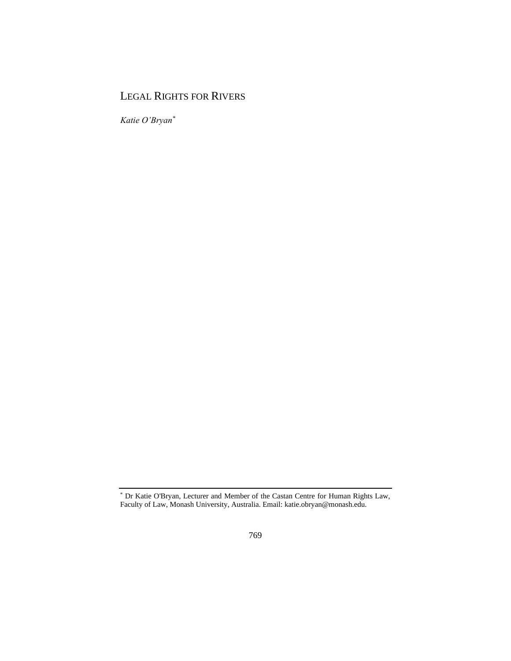## LEGAL RIGHTS FOR RIVERS

*Katie O'Bryan\**

<sup>\*</sup> Dr Katie O'Bryan, Lecturer and Member of the Castan Centre for Human Rights Law, Faculty of Law, Monash University, Australia. Email: katie.obryan@monash.edu.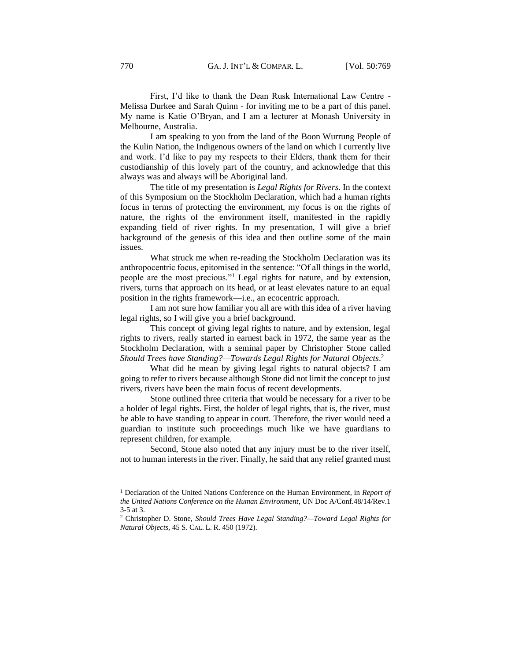First, I'd like to thank the Dean Rusk International Law Centre - Melissa Durkee and Sarah Quinn - for inviting me to be a part of this panel. My name is Katie O'Bryan, and I am a lecturer at Monash University in Melbourne, Australia.

I am speaking to you from the land of the Boon Wurrung People of the Kulin Nation, the Indigenous owners of the land on which I currently live and work. I'd like to pay my respects to their Elders, thank them for their custodianship of this lovely part of the country, and acknowledge that this always was and always will be Aboriginal land.

The title of my presentation is *Legal Rights for Rivers*. In the context of this Symposium on the Stockholm Declaration, which had a human rights focus in terms of protecting the environment, my focus is on the rights of nature, the rights of the environment itself, manifested in the rapidly expanding field of river rights. In my presentation, I will give a brief background of the genesis of this idea and then outline some of the main issues.

What struck me when re-reading the Stockholm Declaration was its anthropocentric focus, epitomised in the sentence: "Of all things in the world, people are the most precious."<sup>1</sup> Legal rights for nature, and by extension, rivers, turns that approach on its head, or at least elevates nature to an equal position in the rights framework—i.e., an ecocentric approach.

I am not sure how familiar you all are with this idea of a river having legal rights, so I will give you a brief background.

This concept of giving legal rights to nature, and by extension, legal rights to rivers, really started in earnest back in 1972, the same year as the Stockholm Declaration, with a seminal paper by Christopher Stone called *Should Trees have Standing?—Towards Legal Rights for Natural Objects*. 2

What did he mean by giving legal rights to natural objects? I am going to refer to rivers because although Stone did not limit the concept to just rivers, rivers have been the main focus of recent developments.

Stone outlined three criteria that would be necessary for a river to be a holder of legal rights. First, the holder of legal rights, that is, the river, must be able to have standing to appear in court. Therefore, the river would need a guardian to institute such proceedings much like we have guardians to represent children, for example.

Second, Stone also noted that any injury must be to the river itself, not to human interests in the river. Finally, he said that any relief granted must

<sup>1</sup> Declaration of the United Nations Conference on the Human Environment, in *Report of the United Nations Conference on the Human Environment*, UN Doc A/Conf.48/14/Rev.1 3-5 at 3.

<sup>2</sup> Christopher D. Stone, *Should Trees Have Legal Standing?—Toward Legal Rights for Natural Objects,* 45 S. CAL. L. R. 450 (1972).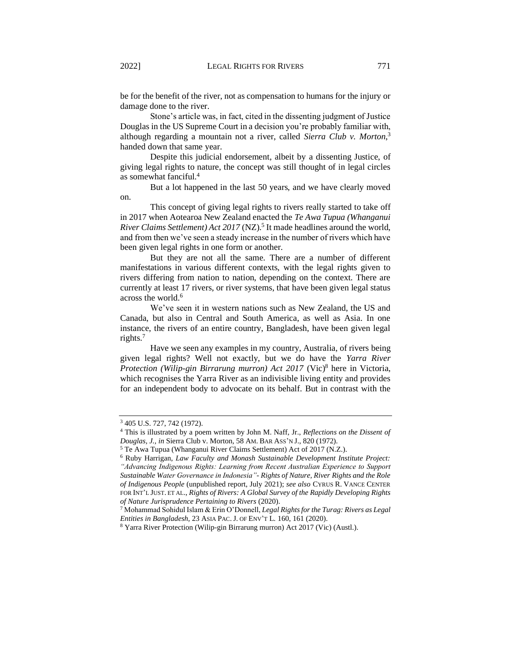be for the benefit of the river, not as compensation to humans for the injury or damage done to the river.

Stone's article was, in fact, cited in the dissenting judgment of Justice Douglas in the US Supreme Court in a decision you're probably familiar with, although regarding a mountain not a river, called *Sierra Club v. Morton*, 3 handed down that same year.

Despite this judicial endorsement, albeit by a dissenting Justice, of giving legal rights to nature, the concept was still thought of in legal circles as somewhat fanciful.<sup>4</sup>

But a lot happened in the last 50 years, and we have clearly moved on.

This concept of giving legal rights to rivers really started to take off in 2017 when Aotearoa New Zealand enacted the *Te Awa Tupua (Whanganui*  River Claims Settlement) Act 2017 (NZ).<sup>5</sup> It made headlines around the world, and from then we've seen a steady increase in the number of rivers which have been given legal rights in one form or another.

But they are not all the same. There are a number of different manifestations in various different contexts, with the legal rights given to rivers differing from nation to nation, depending on the context. There are currently at least 17 rivers, or river systems, that have been given legal status across the world.<sup>6</sup>

We've seen it in western nations such as New Zealand, the US and Canada, but also in Central and South America, as well as Asia. In one instance, the rivers of an entire country, Bangladesh, have been given legal rights.<sup>7</sup>

Have we seen any examples in my country, Australia, of rivers being given legal rights? Well not exactly, but we do have the *Yarra River Protection (Wilip-gin Birrarung murron) Act 2017* (Vic)<sup>8</sup> here in Victoria, which recognises the Yarra River as an indivisible living entity and provides for an independent body to advocate on its behalf. But in contrast with the

<sup>3</sup> 405 U.S. 727, 742 (1972).

<sup>4</sup> This is illustrated by a poem written by John M. Naff, Jr., *Reflections on the Dissent of Douglas, J., in* Sierra Club v. Morton*,* 58 AM. BAR ASS'N J., 820 (1972).

<sup>5</sup> Te Awa Tupua (Whanganui River Claims Settlement) Act of 2017 (N.Z.).

<sup>6</sup> Ruby Harrigan, *Law Faculty and Monash Sustainable Development Institute Project: "Advancing Indigenous Rights: Learning from Recent Australian Experience to Support Sustainable Water Governance in Indonesia"- Rights of Nature, River Rights and the Role of Indigenous People* (unpublished report, July 2021); *see also* CYRUS R. VANCE CENTER FOR INT'L JUST. ET AL., *Rights of Rivers: A Global Survey of the Rapidly Developing Rights of Nature Jurisprudence Pertaining to Rivers* (2020).

<sup>7</sup> Mohammad Sohidul Islam & Erin O'Donnell, *Legal Rights for the Turag: Rivers as Legal Entities in Bangladesh,* 23 ASIA PAC.J. OF ENV'T L*.* 160, 161 (2020).

<sup>8</sup> Yarra River Protection (Wilip-gin Birrarung murron) Act 2017 (Vic) (Austl.).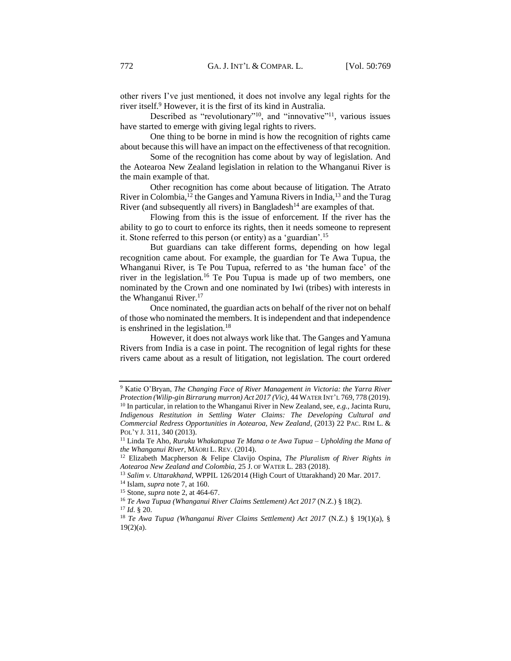other rivers I've just mentioned, it does not involve any legal rights for the river itself.<sup>9</sup> However, it is the first of its kind in Australia.

Described as "revolutionary"<sup>10</sup>, and "innovative"<sup>11</sup>, various issues have started to emerge with giving legal rights to rivers.

One thing to be borne in mind is how the recognition of rights came about because this will have an impact on the effectiveness of that recognition.

Some of the recognition has come about by way of legislation. And the Aotearoa New Zealand legislation in relation to the Whanganui River is the main example of that.

Other recognition has come about because of litigation. The Atrato River in Colombia,<sup>12</sup> the Ganges and Yamuna Rivers in India,<sup>13</sup> and the Turag River (and subsequently all rivers) in Bangladesh<sup>14</sup> are examples of that.

Flowing from this is the issue of enforcement. If the river has the ability to go to court to enforce its rights, then it needs someone to represent it. Stone referred to this person (or entity) as a 'guardian'.<sup>15</sup>

But guardians can take different forms, depending on how legal recognition came about. For example, the guardian for Te Awa Tupua, the Whanganui River, is Te Pou Tupua, referred to as 'the human face' of the river in the legislation.<sup>16</sup> Te Pou Tupua is made up of two members, one nominated by the Crown and one nominated by Iwi (tribes) with interests in the Whanganui River.<sup>17</sup>

Once nominated, the guardian acts on behalf of the river not on behalf of those who nominated the members. It is independent and that independence is enshrined in the legislation.<sup>18</sup>

However, it does not always work like that. The Ganges and Yamuna Rivers from India is a case in point. The recognition of legal rights for these rivers came about as a result of litigation, not legislation. The court ordered

<sup>9</sup> Katie O'Bryan, *The Changing Face of River Management in Victoria: the Yarra River Protection (Wilip-gin Birrarung murron) Act 2017 (Vic),* 44 WATER INT'L 769, 778 (2019). <sup>10</sup> In particular, in relation to the Whanganui River in New Zealand, see, *e.g.*, Jacinta Ruru, *Indigenous Restitution in Settling Water Claims: The Developing Cultural and Commercial Redress Opportunities in Aotearoa, New Zealand*, (2013) 22 PAC. RIM L. & POL'Y J*.* 311, 340 (2013).

<sup>11</sup> Linda Te Aho, *Ruruku Whakatupua Te Mana o te Awa Tupua – Upholding the Mana of the Whanganui River*, MĀORI L. REV*.* (2014).

<sup>12</sup> Elizabeth Macpherson & Felipe Clavijo Ospina, *The Pluralism of River Rights in Aotearoa New Zealand and Colombia*, 25 J. OF WATER L*.* 283 (2018).

<sup>13</sup> *Salim v. Uttarakhand*, WPPIL 126/2014 (High Court of Uttarakhand) 20 Mar. 2017.

<sup>14</sup> Islam, *supra* note 7, at 160.

<sup>15</sup> Stone, *supra* note 2, at 464-67.

<sup>16</sup> *Te Awa Tupua (Whanganui River Claims Settlement) Act 2017* (N.Z.) § 18(2).

<sup>17</sup> *Id*. § 20.

<sup>18</sup> *Te Awa Tupua (Whanganui River Claims Settlement) Act 2017* (N.Z.) § 19(1)(a), §  $19(2)(a)$ .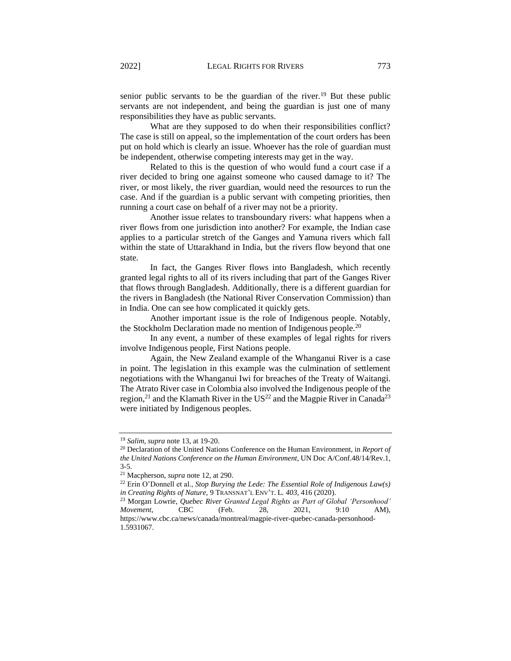senior public servants to be the guardian of the river.<sup>19</sup> But these public servants are not independent, and being the guardian is just one of many responsibilities they have as public servants.

What are they supposed to do when their responsibilities conflict? The case is still on appeal, so the implementation of the court orders has been put on hold which is clearly an issue. Whoever has the role of guardian must be independent, otherwise competing interests may get in the way.

Related to this is the question of who would fund a court case if a river decided to bring one against someone who caused damage to it? The river, or most likely, the river guardian, would need the resources to run the case. And if the guardian is a public servant with competing priorities, then running a court case on behalf of a river may not be a priority.

Another issue relates to transboundary rivers: what happens when a river flows from one jurisdiction into another? For example, the Indian case applies to a particular stretch of the Ganges and Yamuna rivers which fall within the state of Uttarakhand in India, but the rivers flow beyond that one state.

In fact, the Ganges River flows into Bangladesh, which recently granted legal rights to all of its rivers including that part of the Ganges River that flows through Bangladesh. Additionally, there is a different guardian for the rivers in Bangladesh (the National River Conservation Commission) than in India. One can see how complicated it quickly gets.

Another important issue is the role of Indigenous people. Notably, the Stockholm Declaration made no mention of Indigenous people.<sup>20</sup>

In any event, a number of these examples of legal rights for rivers involve Indigenous people, First Nations people.

Again, the New Zealand example of the Whanganui River is a case in point. The legislation in this example was the culmination of settlement negotiations with the Whanganui Iwi for breaches of the Treaty of Waitangi. The Atrato River case in Colombia also involved the Indigenous people of the region,<sup>21</sup> and the Klamath River in the US<sup>22</sup> and the Magpie River in Canada<sup>23</sup> were initiated by Indigenous peoples.

<sup>19</sup> *Salim*, *supra* note 13, at 19-20.

<sup>20</sup> Declaration of the United Nations Conference on the Human Environment, in *Report of the United Nations Conference on the Human Environment*, UN Doc A/Conf.48/14/Rev.1, 3-5.

<sup>21</sup> Macpherson, *supra* note 12, at 290.

<sup>22</sup> Erin O'Donnell et al., *Stop Burying the Lede: The Essential Role of Indigenous Law(s) in Creating Rights of Nature*, 9 TRANSNAT'L ENV'T. L*. 403*, 416 (2020).

<sup>23</sup> Morgan Lowrie, *Quebec River Granted Legal Rights as Part of Global 'Personhood' Movement*, CBC (Feb. 28, 2021, 9:10 AM), [https://www.cbc.ca/news/canada/montreal/magpie-river-quebec-canada-personhood-](https://www.cbc.ca/news/canada/montreal/magpie-river-quebec-canada-personhood-1.5931067)[1.5931067.](https://www.cbc.ca/news/canada/montreal/magpie-river-quebec-canada-personhood-1.5931067)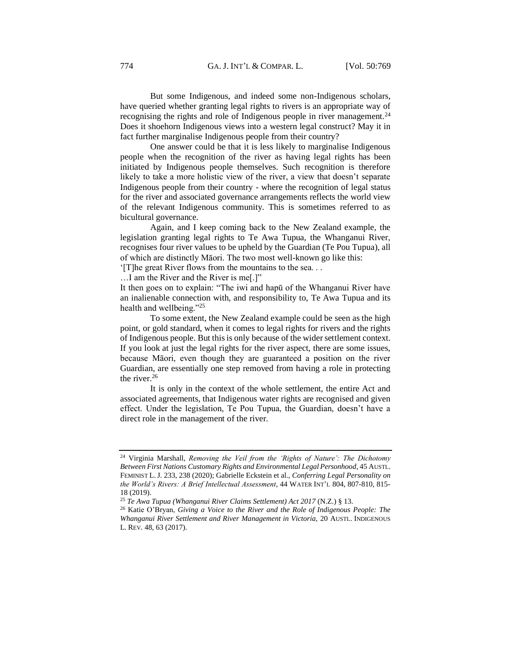But some Indigenous, and indeed some non-Indigenous scholars, have queried whether granting legal rights to rivers is an appropriate way of recognising the rights and role of Indigenous people in river management.<sup>24</sup> Does it shoehorn Indigenous views into a western legal construct? May it in fact further marginalise Indigenous people from their country?

One answer could be that it is less likely to marginalise Indigenous people when the recognition of the river as having legal rights has been initiated by Indigenous people themselves. Such recognition is therefore likely to take a more holistic view of the river, a view that doesn't separate Indigenous people from their country - where the recognition of legal status for the river and associated governance arrangements reflects the world view of the relevant Indigenous community. This is sometimes referred to as bicultural governance.

Again, and I keep coming back to the New Zealand example, the legislation granting legal rights to Te Awa Tupua, the Whanganui River, recognises four river values to be upheld by the Guardian (Te Pou Tupua), all of which are distinctly Māori. The two most well-known go like this:

'[T]he great River flows from the mountains to the sea. . .

…I am the River and the River is me[.]"

It then goes on to explain: "The iwi and hapū of the Whanganui River have an inalienable connection with, and responsibility to, Te Awa Tupua and its health and wellbeing."<sup>25</sup>

To some extent, the New Zealand example could be seen as the high point, or gold standard, when it comes to legal rights for rivers and the rights of Indigenous people. But this is only because of the wider settlement context. If you look at just the legal rights for the river aspect, there are some issues, because Māori, even though they are guaranteed a position on the river Guardian, are essentially one step removed from having a role in protecting the river. $26$ 

It is only in the context of the whole settlement, the entire Act and associated agreements, that Indigenous water rights are recognised and given effect. Under the legislation, Te Pou Tupua, the Guardian, doesn't have a direct role in the management of the river.

<sup>24</sup> Virginia Marshall, *Removing the Veil from the 'Rights of Nature': The Dichotomy Between First Nations Customary Rights and Environmental Legal Personhood*, 45 AUSTL. FEMINIST L.J*.* 233, 238 (2020); Gabrielle Eckstein et al., *Conferring Legal Personality on the World's Rivers: A Brief Intellectual Assessment*, 44 WATER INT'L 804, 807-810, 815- 18 (2019).

<sup>25</sup> *Te Awa Tupua (Whanganui River Claims Settlement) Act 2017* (N.Z.) § 13.

<sup>26</sup> Katie O'Bryan, *Giving a Voice to the River and the Role of Indigenous People: The Whanganui River Settlement and River Management in Victoria,* 20 AUSTL. INDIGENOUS L. REV*.* 48, 63 (2017).